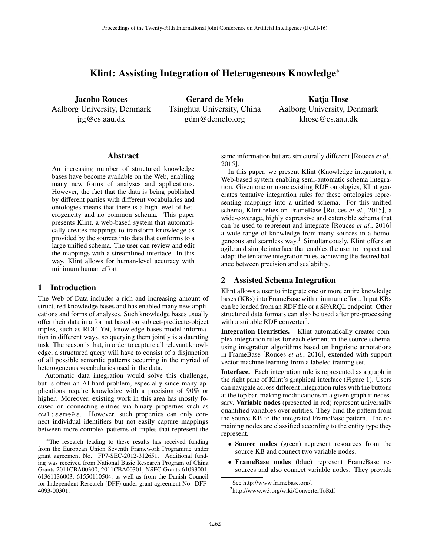# Klint: Assisting Integration of Heterogeneous Knowledge<sup>\*</sup>

Jacobo Rouces Aalborg University, Denmark jrg@es.aau.dk

Gerard de Melo Tsinghua University, China gdm@demelo.org

Katja Hose Aalborg University, Denmark khose@cs.aau.dk

#### Abstract

An increasing number of structured knowledge bases have become available on the Web, enabling many new forms of analyses and applications. However, the fact that the data is being published by different parties with different vocabularies and ontologies means that there is a high level of heterogeneity and no common schema. This paper presents Klint, a web-based system that automatically creates mappings to transform knowledge as provided by the sources into data that conforms to a large unified schema. The user can review and edit the mappings with a streamlined interface. In this way, Klint allows for human-level accuracy with minimum human effort.

## 1 Introduction

The Web of Data includes a rich and increasing amount of structured knowledge bases and has enabled many new applications and forms of analyses. Such knowledge bases usually offer their data in a format based on subject-predicate-object triples, such as RDF. Yet, knowledge bases model information in different ways, so querying them jointly is a daunting task. The reason is that, in order to capture all relevant knowledge, a structured query will have to consist of a disjunction of all possible semantic patterns occurring in the myriad of heterogeneous vocabularies used in the data.

Automatic data integration would solve this challenge, but is often an AI-hard problem, especially since many applications require knowledge with a precision of 90% or higher. Moreover, existing work in this area has mostly focused on connecting entries via binary properties such as owl:sameAs. However, such properties can only connect individual identifiers but not easily capture mappings between more complex patterns of triples that represent the same information but are structurally different [Rouces *et al.*, 2015].

In this paper, we present Klint (Knowledge integrator), a Web-based system enabling semi-automatic schema integration. Given one or more existing RDF ontologies, Klint generates tentative integration rules for these ontologies representing mappings into a unified schema. For this unified schema, Klint relies on FrameBase [Rouces *et al.*, 2015], a wide-coverage, highly expressive and extensible schema that can be used to represent and integrate [Rouces *et al.*, 2016] a wide range of knowledge from many sources in a homogeneous and seamless way.<sup>1</sup> Simultaneously, Klint offers an agile and simple interface that enables the user to inspect and adapt the tentative integration rules, achieving the desired balance between precision and scalability.

## 2 Assisted Schema Integration

Klint allows a user to integrate one or more entire knowledge bases (KBs) into FrameBase with minimum effort. Input KBs can be loaded from an RDF file or a SPARQL endpoint. Other structured data formats can also be used after pre-processing with a suitable RDF converter<sup>2</sup>.

Integration Heuristics. Klint automatically creates complex integration rules for each element in the source schema, using integration algorithms based on linguistic annotations in FrameBase [Rouces *et al.*, 2016], extended with support vector machine learning from a labeled training set.

Interface. Each integration rule is represented as a graph in the right pane of Klint's graphical interface (Figure 1). Users can navigate across different integration rules with the buttons at the top bar, making modifications in a given graph if necessary. Variable nodes (presented in red) represent universally quantified variables over entities. They bind the pattern from the source KB to the integrated FrameBase pattern. The remaining nodes are classified according to the entity type they represent.

- *•* Source nodes (green) represent resources from the source KB and connect two variable nodes.
- *•* FrameBase nodes (blue) represent FrameBase resources and also connect variable nodes. They provide

The research leading to these results has received funding from the European Union Seventh Framework Programme under grant agreement No. FP7-SEC-2012-312651. Additional funding was received from National Basic Research Program of China Grants 2011CBA00300, 2011CBA00301, NSFC Grants 61033001, 61361136003, 61550110504, as well as from the Danish Council for Independent Research (DFF) under grant agreement No. DFF-4093-00301.

<sup>1</sup> See http://www.framebase.org/.

<sup>2</sup> http://www.w3.org/wiki/ConverterToRdf